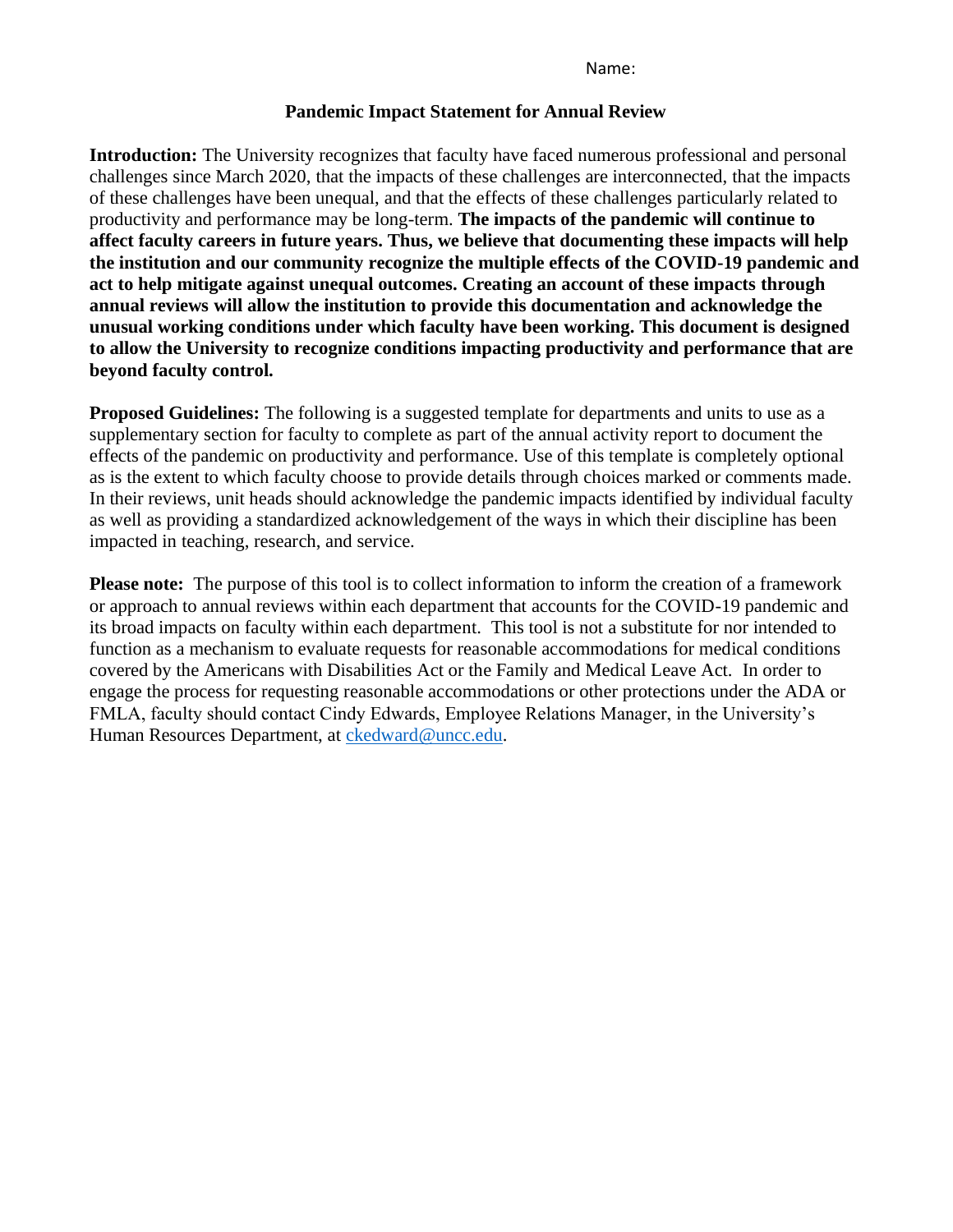Name:

#### **Pandemic Impact Statement for Annual Review**

**Introduction:** The University recognizes that faculty have faced numerous professional and personal challenges since March 2020, that the impacts of these challenges are interconnected, that the impacts of these challenges have been unequal, and that the effects of these challenges particularly related to productivity and performance may be long-term. **The impacts of the pandemic will continue to affect faculty careers in future years. Thus, we believe that documenting these impacts will help the institution and our community recognize the multiple effects of the COVID-19 pandemic and act to help mitigate against unequal outcomes. Creating an account of these impacts through annual reviews will allow the institution to provide this documentation and acknowledge the unusual working conditions under which faculty have been working. This document is designed to allow the University to recognize conditions impacting productivity and performance that are beyond faculty control.** 

**Proposed Guidelines:** The following is a suggested template for departments and units to use as a supplementary section for faculty to complete as part of the annual activity report to document the effects of the pandemic on productivity and performance. Use of this template is completely optional as is the extent to which faculty choose to provide details through choices marked or comments made. In their reviews, unit heads should acknowledge the pandemic impacts identified by individual faculty as well as providing a standardized acknowledgement of the ways in which their discipline has been impacted in teaching, research, and service.

**Please note:** The purpose of this tool is to collect information to inform the creation of a framework or approach to annual reviews within each department that accounts for the COVID-19 pandemic and its broad impacts on faculty within each department. This tool is not a substitute for nor intended to function as a mechanism to evaluate requests for reasonable accommodations for medical conditions covered by the Americans with Disabilities Act or the Family and Medical Leave Act. In order to engage the process for requesting reasonable accommodations or other protections under the ADA or FMLA, faculty should contact Cindy Edwards, Employee Relations Manager, in the University's Human Resources Department, at [ckedward@uncc.edu.](mailto:ckedward@uncc.edu)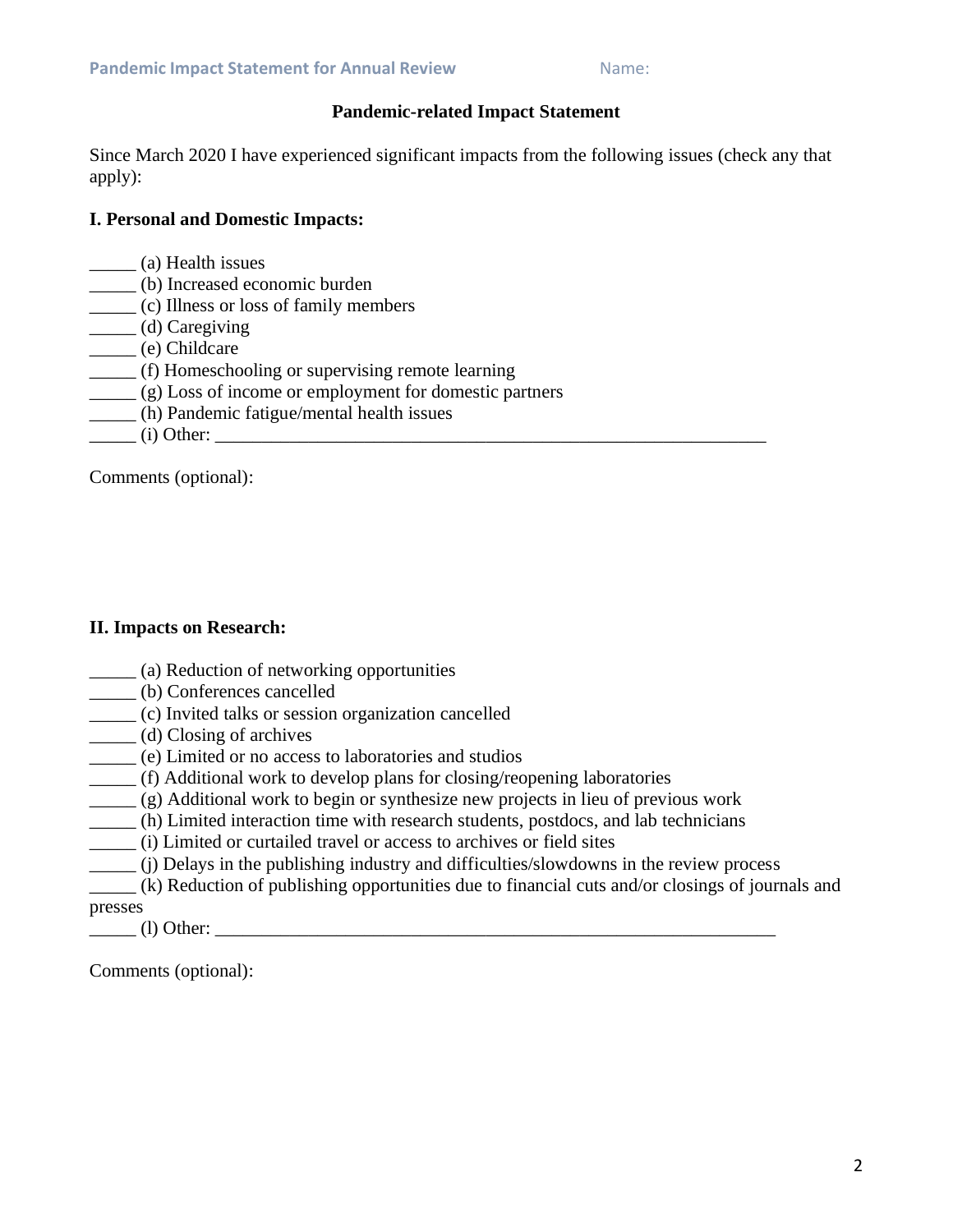### **Pandemic-related Impact Statement**

Since March 2020 I have experienced significant impacts from the following issues (check any that apply):

### **I. Personal and Domestic Impacts:**

- \_\_\_\_\_ (a) Health issues
- \_\_\_\_\_ (b) Increased economic burden
- \_\_\_\_\_ (c) Illness or loss of family members
- \_\_\_\_\_ (d) Caregiving
- \_\_\_\_\_ (e) Childcare
- \_\_\_\_\_ (f) Homeschooling or supervising remote learning
- \_\_\_\_\_ (g) Loss of income or employment for domestic partners
- \_\_\_\_\_ (h) Pandemic fatigue/mental health issues
- $(i)$  Other:  $(i)$

Comments (optional):

# **II. Impacts on Research:**

- \_\_\_\_\_ (a) Reduction of networking opportunities
- \_\_\_\_\_ (b) Conferences cancelled
- \_\_\_\_\_ (c) Invited talks or session organization cancelled
- \_\_\_\_\_ (d) Closing of archives
- \_\_\_\_\_ (e) Limited or no access to laboratories and studios
- \_\_\_\_\_ (f) Additional work to develop plans for closing/reopening laboratories
- \_\_\_\_\_ (g) Additional work to begin or synthesize new projects in lieu of previous work
- \_\_\_\_\_ (h) Limited interaction time with research students, postdocs, and lab technicians
- \_\_\_\_\_ (i) Limited or curtailed travel or access to archives or field sites
- \_\_\_\_\_ (j) Delays in the publishing industry and difficulties/slowdowns in the review process
- \_\_\_\_\_ (k) Reduction of publishing opportunities due to financial cuts and/or closings of journals and presses
- \_\_\_\_\_ (l) Other: \_\_\_\_\_\_\_\_\_\_\_\_\_\_\_\_\_\_\_\_\_\_\_\_\_\_\_\_\_\_\_\_\_\_\_\_\_\_\_\_\_\_\_\_\_\_\_\_\_\_\_\_\_\_\_\_\_\_\_\_

Comments (optional):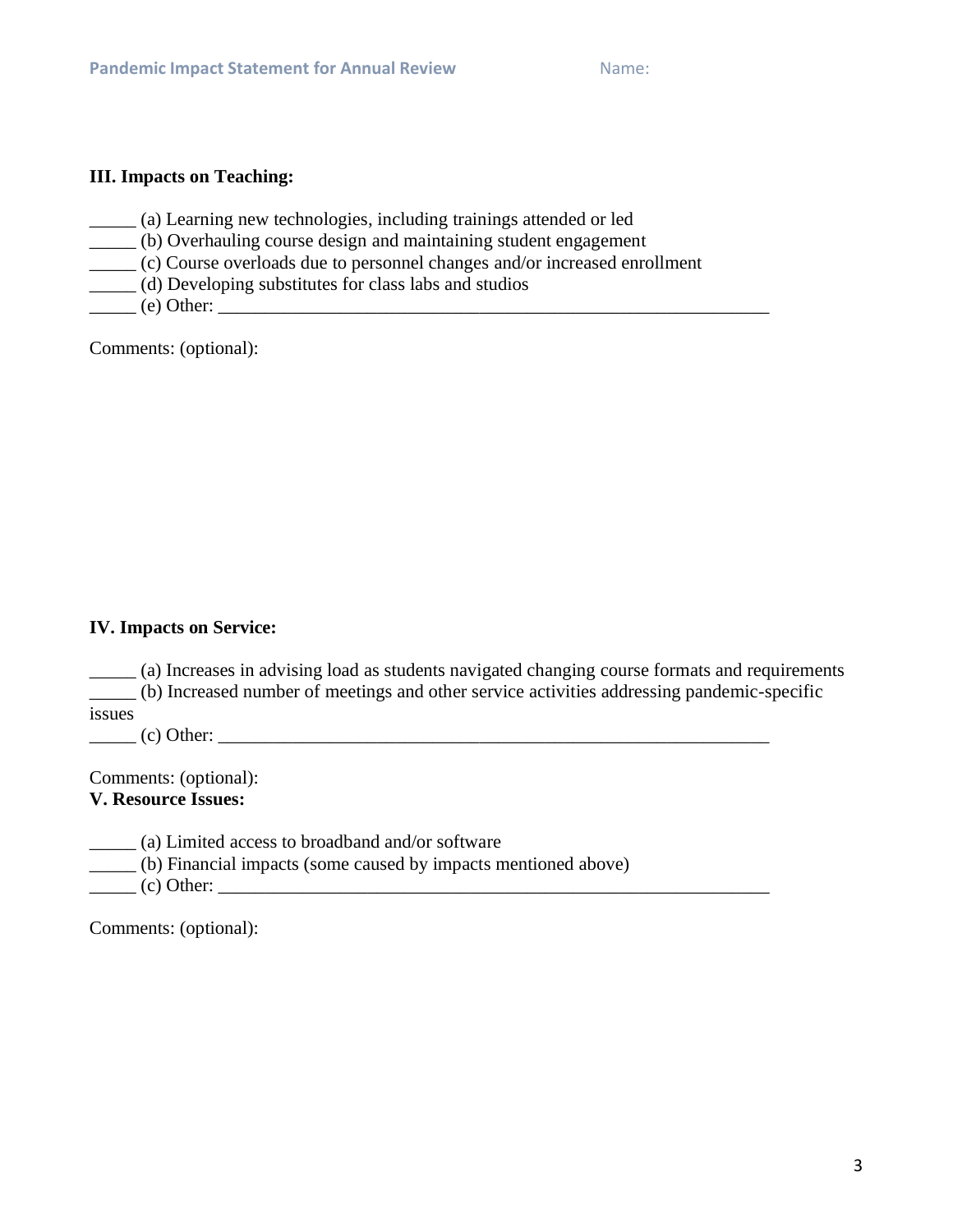#### **III. Impacts on Teaching:**

- \_\_\_\_\_ (a) Learning new technologies, including trainings attended or led
- \_\_\_\_\_ (b) Overhauling course design and maintaining student engagement
- \_\_\_\_\_ (c) Course overloads due to personnel changes and/or increased enrollment
- \_\_\_\_\_ (d) Developing substitutes for class labs and studios
- \_\_\_\_\_ (e) Other: \_\_\_\_\_\_\_\_\_\_\_\_\_\_\_\_\_\_\_\_\_\_\_\_\_\_\_\_\_\_\_\_\_\_\_\_\_\_\_\_\_\_\_\_\_\_\_\_\_\_\_\_\_\_\_\_\_\_\_

Comments: (optional):

### **IV. Impacts on Service:**

\_\_\_\_\_ (a) Increases in advising load as students navigated changing course formats and requirements \_\_\_\_\_ (b) Increased number of meetings and other service activities addressing pandemic-specific issues

\_\_\_\_\_ (c) Other: \_\_\_\_\_\_\_\_\_\_\_\_\_\_\_\_\_\_\_\_\_\_\_\_\_\_\_\_\_\_\_\_\_\_\_\_\_\_\_\_\_\_\_\_\_\_\_\_\_\_\_\_\_\_\_\_\_\_\_

Comments: (optional): **V. Resource Issues:**

\_\_\_\_\_ (a) Limited access to broadband and/or software

\_\_\_\_\_ (b) Financial impacts (some caused by impacts mentioned above)

 $\frac{1}{\sqrt{1-\frac{1}{2}}\cdot\frac{1}{2}}$  (c) Other:  $\frac{1}{2}$ 

Comments: (optional):